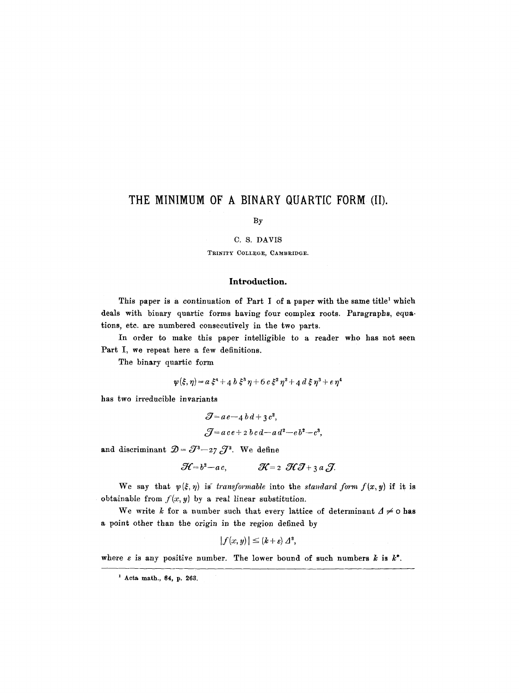# **THE MINIMUM OF A BINARY CIUARTIC FORM (II).**

By

## C. S. DAVIS

TRINITY COLLEGE, CAMBRIDGE.

## **Introduction.**

This paper is a continuation of Part I of a paper with the same title<sup>1</sup> which deals with binary quartic forms having four complex roots. Paragraphs, equations, etc. are numbered consecutively in the two parts.

In order to make this paper intelligible to a reader who has not seen Part I, we repeat here a few definitions.

The binary quartic form

$$
\psi(\xi,\eta) = a \xi^4 + a b \xi^3 \eta + 6 c \xi^2 \eta^2 + a d \xi \eta^3 + e \eta^4
$$

has two irreducible invariants

$$
Z = ae - 4 bd + 3 c2,
$$
  

$$
Z = ace + 2 bc d - ad2 - cb2 - c3,
$$

and discriminant  $\mathcal{D} = \mathcal{J}^3 - 27 \mathcal{J}^2$ . We define

$$
\mathcal{H}=b^2-a c,\qquad \qquad \mathcal{H}=2\ \ \mathcal{H}\mathcal{J}+3\ a\ \mathcal{J}.
$$

We say that  $\psi(\xi,\eta)$  is *transformable* into the *standard form f(x,y)* if it is obtainable from  $f(x, y)$  by a real linear substitution.

We write k for a number such that every lattice of determinant  $\Delta \neq 0$  has a point other than the origin in the region defined by

$$
|f(x,y)| \leq (k+\varepsilon) \Delta^2,
$$

where  $\varepsilon$  is any positive number. The lower bound of such numbers  $k$  is  $k^*$ .

**<sup>&#</sup>x27; Acta math., 84, p. 263.**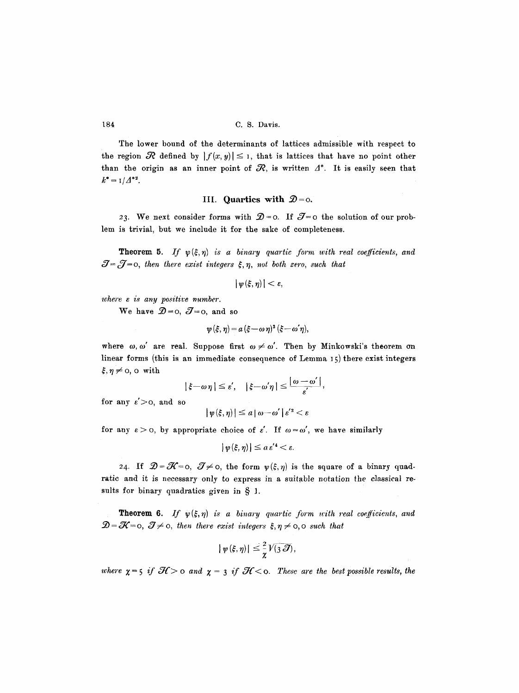The lower bound of the determinants of lattices admissible with respect to the region  $\mathcal R$  defined by  $|f(x, y)| \leq 1$ , that is lattices that have no point other than the origin as an inner point of  $R$ , is written  $\varLambda^*$ . It is easily seen that  $k^* = 1/\Delta^{*2}$ .

## **III.** Quartics with  $\mathcal{D} = 0$ .

23. We next consider forms with  $\mathcal{D}=0$ . If  $\mathcal{J}=0$  the solution of our problem is trivial, but we include it for the sake of completeness.

**Theorem 5.** If  $\psi(\xi,\eta)$  *is a binary quartic form with real coefficients, and*  $\mathcal{J} = \mathcal{J} = 0$ , then there exist integers  $\xi, \eta$ , not both zero, such that

$$
|\psi(\xi,\eta)|<\varepsilon,
$$

*where e is any positive number.* 

We have  $\mathcal{D}=0$ ,  $\mathcal{J}=0$ , and so

$$
\psi(\xi,\eta) = a(\xi - \omega \eta)^3 (\xi - \omega \eta),
$$

where  $\omega$ ,  $\omega'$  are real. Suppose first  $\omega \neq \omega'$ . Then by Minkowski's theorem on linear forms (this is an immediate consequence of Lemma 15) there exist integers  $\xi, \eta \neq 0$ , o with

$$
|\xi-\omega\eta| \leq \varepsilon', \quad |\xi-\omega'\eta| \leq \frac{|\omega-\omega'|}{\varepsilon'},
$$

for any  $\varepsilon' > 0$ , and so

$$
|\psi(\xi,\eta)| \leq a |\omega - \omega'| \varepsilon'^2 < \varepsilon
$$

for any  $\varepsilon > 0$ , by appropriate choice of  $\varepsilon'$ . If  $\omega = \omega'$ , we have similarly

$$
|\psi(\xi,\eta)| \leq a\,\varepsilon'^4 < \varepsilon.
$$

24. If  $\mathcal{D} = \mathcal{K} = 0$ ,  $\mathcal{J} \neq 0$ , the form  $\psi(\xi, \eta)$  is the square of a binary quadratic and it is necessary only to express in a suitable nofation the classical results for binary quadratics given in  $\S$  1.

**Theorem 6.** If  $\psi(\xi,\eta)$  is a binary quartic form with real coefficients, and  $\mathcal{D}=\mathcal{K}=0,~\mathcal{J}\neq 0,$  then there exist integers  $\xi, \eta \neq 0,$  o such that

$$
|\psi(\xi,\eta)|\leq \frac{2}{\chi}\sqrt{(3\mathcal{J})},
$$

*where*  $\chi = 5$  *if*  $\mathcal{H} > 0$  and  $\chi = 3$  *if*  $\mathcal{H} < 0$ . These are the best possible results, the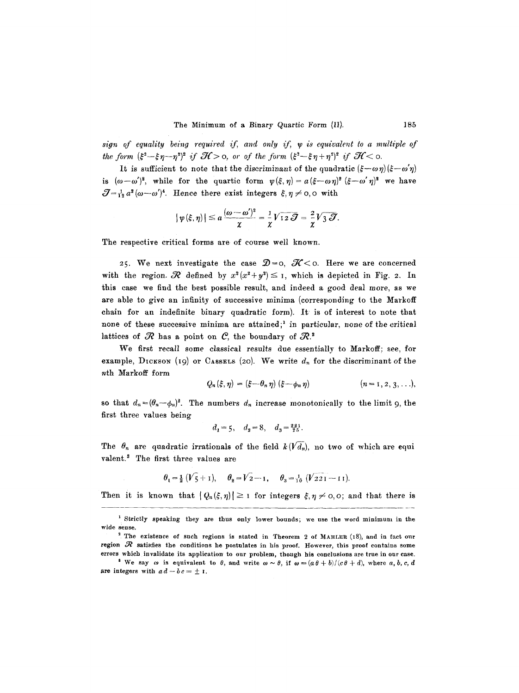$sign of equality being required if, and only if, y is equivalent to a multiple of$ *the form*  $(\xi^2 - \xi \eta - \eta^2)^2$  *if*  $\mathcal{H} > 0$ , or of the form  $(\xi^2 - \xi \eta + \eta^2)^2$  if  $\mathcal{H} < 0$ .

It is sufficient to note that the discriminant of the quadratic  $(\xi-\omega \eta)(\xi-\omega' \eta)$ is  $(\omega-\omega')^2$ , while for the quartic form  $\psi(\xi,\eta)=a(\xi-\omega\eta)^2~(\xi-\omega'\eta)^2$  we have  $\mathcal{J}=\frac{1}{12}a^2(\omega-\omega')^4$ . Hence there exist integers  $\xi, \eta \neq 0, 0$  with

$$
|\psi(\xi,\eta)| \leq a \frac{(\omega-\omega')^2}{\chi} = \frac{1}{\chi} \sqrt{12 \mathcal{\mathcal{J}}} = \frac{2}{\chi} \sqrt{3 \mathcal{\mathcal{J}}}.
$$

The respective critical forms are of course well known.

25. We next investigate the case  $\mathcal{D}=0$ ,  $\mathcal{K}<0$ . Here we are concerned with the region.  $\mathcal R$  defined by  $x^2(x^2+y^2) \leq 1$ , which is depicted in Fig. 2. In this case we find the best possible result, and indeed a good deal more, as we are able to give an infinity of successive minima (corresponding to the Markoff chain for an indefinite binary quadratic form). It' is of interest to note that none of these successive minima are attained;<sup>1</sup> in particular, none of the critical lattices of  $R$  has a point on  $C$ , the boundary of  $R$ .

We first recall some classical results due essentially to Markoff; see, for example, DICKSON (19) or CASSELS (20). We write  $d_n$  for the discriminant of the nth Markoff form

$$
Q_n(\xi,\eta)=(\xi-\theta_n\eta)(\xi-\phi_n\eta) \qquad (n=1,2,3,\ldots),
$$

so that  $d_n = (\theta_n - \phi_n)^2$ . The numbers  $d_n$  increase monotonically to the limit 9, the first three values being

$$
d_1 = 5
$$
,  $d_2 = 8$ ,  $d_3 = \frac{221}{25}$ .

The  $\theta_n$  are quadratic irrationals of the field  $k(\sqrt{d_n})$ , no two of which are equi valent.<sup>3</sup> The first three values are

$$
\theta_1 = \frac{1}{2} (V_5 + I), \quad \theta_2 = V_2 - I, \quad \theta_3 = \frac{1}{10} (V_2 - I I).
$$

Then it is known that  $|Q_n(\xi,\eta)| \geq 1$  for integers  $\xi, \eta \neq 0, 0$ ; and that there is

i Strictly speaking they are thus only lower bounds; we use the word minimum in the wide sense.

<sup>&</sup>lt;sup>2</sup>. The existence of such regions is stated in Theorem 2 of MAHLER (18), and in fact our region  $\mathcal R$  satisfies the conditions he postulates in his proof. However, this proof contains some

errors which invalidate its application to our problem, thongh his conclusions are true in our case. <sup>8</sup> We say  $\omega$  is equivalent to  $\theta$ , and write  $\omega \sim \theta$ , if  $\omega = (a \theta + b)/(c \theta + d)$ , where  $a, b, c, d$ are integers with  $ad-bc=\pm 1$ .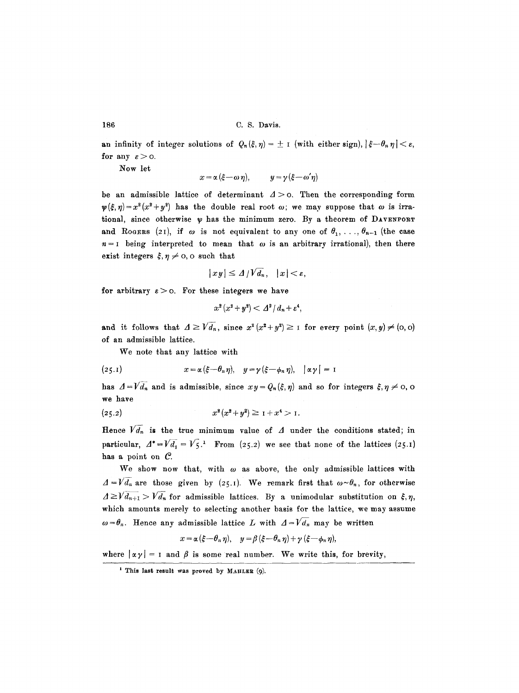an infinity of integer solutions of  $Q_n(\xi, \eta) = \pm \iota$  (with either sign),  $|\xi - \theta_n \eta| < \varepsilon$ , for any  $\varepsilon > 0$ .

Now let

$$
x = \alpha (\xi - \omega \eta), \qquad y = \gamma (\xi - \omega' \eta)
$$

be an admissible lattice of determinant  $\Delta > 0$ . Then the corresponding form  $\psi(\xi,\eta)=x^2(x^2+y^2)$  has the double real root  $\omega$ ; we may suppose that  $\omega$  is irrational, since otherwise  $\psi$  has the minimum zero. By a theorem of DAVENPORT and Roogens (21), if  $\omega$  is not equivalent to any one of  $\theta_1, \ldots, \theta_{n-1}$  (the case  $n = 1$  being interpreted to mean that  $\omega$  is an arbitrary irrational), then there exist integers  $\xi, \eta \neq 0$ , o such that

$$
|xy|\leq \Delta/V\overline{d}_n, \quad |x|<\varepsilon,
$$

for arbitrary  $\varepsilon > 0$ . For these integers we have

$$
x^2(x^2+y^2)<\Delta^2/d_n+\varepsilon^4,
$$

and it follows that  $A \geq \sqrt{d_n}$ , since  $x^2 (x^2 + y^2) \geq 1$  for every point  $(x, y) \neq (0, 0)$ of an admissible lattice.

We note that any lattice with

(25.1) 
$$
x = \alpha \left( \xi - \theta_n \eta \right), \quad y = \gamma \left( \xi - \phi_n \eta \right), \quad \vert \alpha \gamma \vert = 1
$$

has  $A = V\overline{d_n}$  and is admissible, since  $xy = Q_n(\xi, \eta)$  and so for integers  $\xi, \eta \neq 0$ , o we have

$$
(25.2) \t\t x2(x2+y2) \ge 1 + x4 > 1.
$$

Hence  $\widehat{V}\overline{d_n}$  is the true minimum value of  $\Delta$  under the conditions stated; in particular,  $A^* = V \overline{d_1} = V_5$ .<sup>1</sup> From (25.2) we see that none of the lattices (25.1) has a point on  $C$ .

We show now that, with  $\omega$  as above, the only admissible lattices with  $\Delta = V \overline{d_n}$  are those given by (25.1). We remark first that  $\omega \sim \theta_n$ , for otherwise  $A \geq V d_{n+1} > V d_n$  for admissible lattices. By a unimodular substitution on  $\xi, \eta$ , which amounts merely to selecting another basis for the lattice, we may assume  $\omega = \theta_n$ . Hence any admissible lattice L with  $\Delta = V \overline{d_n}$  may be written

$$
x = \alpha (\xi - \theta_n \eta), \quad y = \beta (\xi - \theta_n \eta) + \gamma (\xi - \phi_n \eta),
$$

where  $|\alpha y| = 1$  and  $\beta$  is some real number. We write this, for brevity,

**i This last result was proved by MAHLER (9).**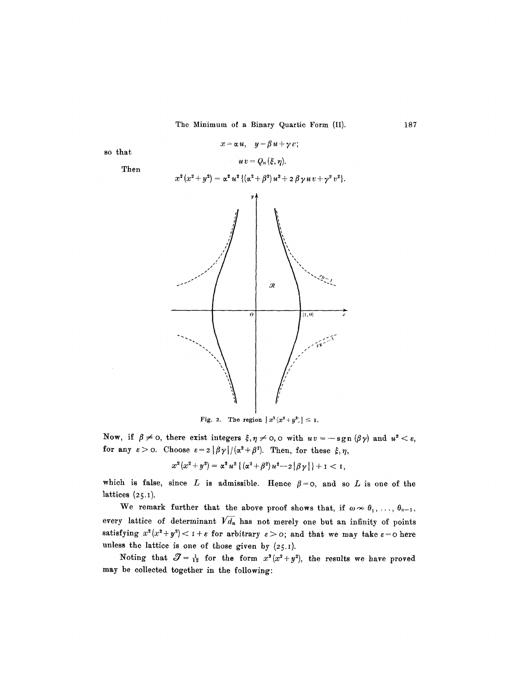

Fig. 2. The region  $x^2(x^3+y^2) \leq 1$ .

Now, if  $\beta \neq 0$ , there exist integers  $\xi, \eta \neq 0, 0$  with  $uv = -sgn(\beta \gamma)$  and  $u^2 < \varepsilon$ , for any  $\varepsilon > 0$ . Choose  $\varepsilon = 2|\beta \gamma|/(\alpha^2 + \beta^2)$ . Then, for these  $\xi, \eta$ ,

 $x^2(x^2 + y^2) = \alpha^2 u^2 \left\{ (x^2 + \beta^2) u^2 - 2 |\beta \gamma| \right\} + 1 < 1,$ 

which is false, since  $L$  is admissible. Hence  $\beta = 0$ , and so  $L$  is one of the lattices  $(25.1)$ .

We remark further that the above proof shows that, if  $\omega \sim \theta_1, \ldots, \theta_{n-1}$ , every lattice of determinant  $\sqrt{d_n}$  has not merely one but an infinity of points satisfying  $x^2(x^2+y^2) < 1+\varepsilon$  for arbitrary  $\varepsilon > 0$ ; and that we may take  $\varepsilon = 0$  here unless the lattice is one of those given by  $(25.1)$ .

Noting that  $\mathcal{J} = \frac{1}{12}$  for the form  $x^2(x^2+y^2)$ , the results we have proved may be collected together in the following: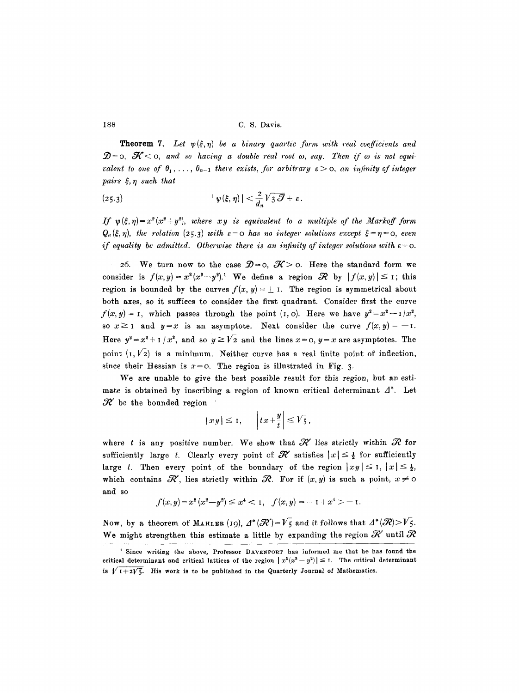**Theorem 7.** Let  $\psi(\xi, \eta)$  be a binary quartic form with real coefficients and  $\mathcal{D} = 0$ ,  $\mathcal{K} \leq 0$ , and so having a double real root  $\omega$ , say. Then if  $\omega$  is not equi*valent to one of*  $\theta_1, \ldots, \theta_{n-1}$  there exists, for arbitrary  $\varepsilon > 0$ , an infinity of integer  $pairs ~ \xi, \eta ~ such ~ that$ 

(25.3) 
$$
|\psi(\xi,\eta)| < \frac{2}{d_n} \sqrt{3 \mathcal{J}} + \varepsilon.
$$

*If*  $\psi(\xi, \eta) = x^2(x^2+y^2)$ , *where xy is equivalent to a multiple of the Markoff form*  $Q_n(\xi,\eta)$ , the relation (25.3) with  $\varepsilon=0$  has no integer solutions except  $\xi=\eta=0$ , even *if equality be admitted. Otherwise there is an infinity of integer solutions with*  $\varepsilon$ =0.

26. We turn now to the case  $\mathcal{D}=o$ ,  $\mathcal{K}>o$ . Here the standard form we consider is  $f(x,y)=x^2(x^2-y^2).$ <sup>1</sup> We define a region  $\mathcal R$  by  $|f(x,y)| \leq I$ ; this region is bounded by the curves  $f(x, y) = \pm 1$ . The region is symmetrical about both axes, so it suffices to consider the first quadrant. Consider first the curve  $f(x, y) = I$ , which passes through the point (I, o). Here we have  $y^2 = x^2 - I/x^2$ , so  $x \ge 1$  and  $y=x$  is an asymptote. Next consider the curve  $f(x, y) = -1$ . Here  $y^2 = x^2 + 1/x^2$ , and so  $y \ge \sqrt{2}$  and the lines  $x = 0$ ,  $y = x$  are asymptotes. The point  $(I, V_2)$  is a minimum. Neither curve has a real finite point of inflection, since their Hessian is  $x=0$ . The region is illustrated in Fig. 3.

We are unable to give the best possible result for this region, but an estimate is obtained by inscribing a region of known critical determinant  $\Delta^*$ . Let  $\mathcal{R}'$  be the bounded region

$$
|xy| \leq 1, \qquad \left|tx + \frac{y}{t}\right| \leq \sqrt{5},
$$

where t is any positive number. We show that  $\mathcal{R}'$  lies strictly within  $\mathcal{R}$  for sufficiently large t. Clearly every point of  $\mathcal{R}'$  satisfies  $|x| \leq \frac{1}{2}$  for sufficiently large t. Then every point of the boundary of the region  $|xy| \leq 1$ ,  $|x| \leq \frac{1}{2}$ , which contains  $\mathcal{R}'$ , lies strictly within  $\mathcal{R}_-$ . For if  $(x, y)$  is such a point,  $x \neq 0$ and so

$$
f(x,y) = x^2 (x^2 - y^2) \le x^4 < 1, \quad f(x,y) = -1 + x^4 > -1.
$$

Now, by a theorem of MAHLER (19),  $A^*(\mathcal{R}')=V_5$  and it follows that  $A^*(\mathcal{R})>V_5$ . We might strengthen this estimate a little by expanding the region  $\mathcal{R}'$  until  $\mathcal{R}$ 

<sup>1</sup> Since writing the above, Professor DAVENPORT has informed me that he has found the critical determinant and critical lattices of the region  $|x^2(x^2-y^2)| \leq 1$ . The critical determinant is  $\sqrt{1+2\sqrt{5}}$ . His work is to be published in the Quarterly Journal of Mathematics.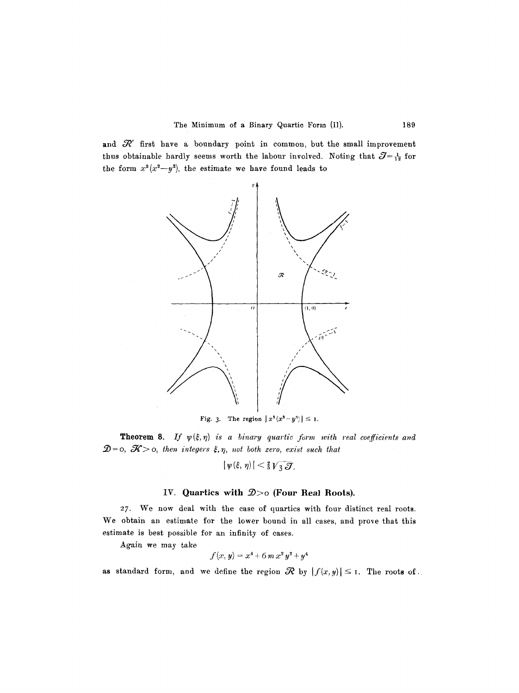and  $R'$  first have a boundary point in common, but the small improvement thus obtainable hardly seems worth the labour involved. Noting that  $\mathcal{J}={1 \over 12}$  for the form  $x^2(x^2-y^2)$ , the estimate we have found leads to



Fig. 3. The region  $|x^2(x^2-y^3)| \leq 1$ .

**Theorem 8.** If  $\psi(\xi, \eta)$  is a binary quartic form with real coefficients and  $\mathcal{D} = o, \ \mathcal{K} > o,$  then integers  $\xi, \eta$ , not both zero, exist such that

$$
|\,\psi(\xi,\,\eta)\,|<\tfrac25\,{\sqrt{3}}\,\overline{{\mathcal{J}}}.
$$

## IV. Quartics with  $\mathcal{D} > 0$  (Four Real Roots).

27. We now deal with the case of quartics with four distinct real roots. We obtain an estimate for the lower bound in all cases, and prove that this estimate is best possible for an infinity of eases.

Again we may take

$$
f(x, y) = x^4 + 6 m x^2 y^2 + y^4
$$

as standard form, and we define the region  $\mathcal R$  by  $|f(x,y)| \leq I$ . The roots of.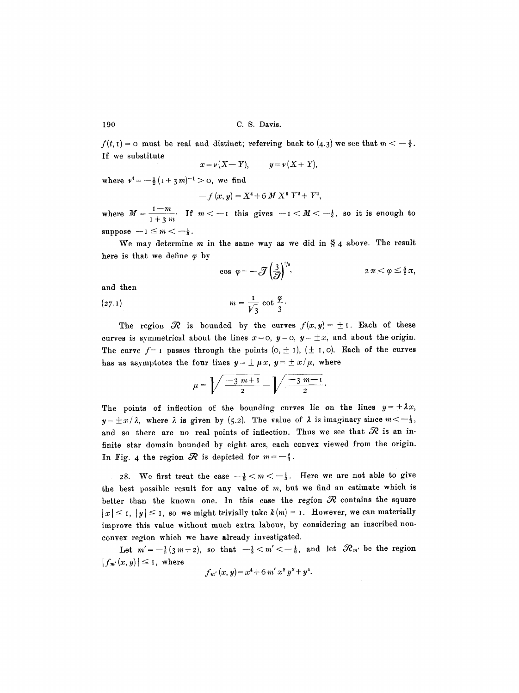$f(t, 1) = 0$  must be real and distinct; referring back to  $(4.3)$  we see that  $m < -\frac{1}{3}$ . If we substitute

$$
x = \nu (X - Y), \qquad y = \nu (X + Y),
$$

where  $v^4 = -\frac{1}{2} (1 + 3m)^{-1} > 0$ , we find

$$
-f(x, y) = X^4 + 6 M X^2 Y^2 + Y^4,
$$

where  $M = \frac{1}{1-\cdots}$  If  $m < -1$  this gives  $-1 < M < -\frac{1}{3}$ , so it is enough to  $1+3$  m suppose  $-1 \leq m < -\frac{1}{3}$ .

We may determine  $m$  in the same way as we did in  $\S_4$  above. The result here is that we define  $\varphi$  by

$$
\cos \varphi = -\mathcal{J}\left(\frac{3}{\mathcal{J}}\right)^{s/s}, \qquad 2\pi < \varphi \leq \frac{5}{2}\pi,
$$

and then

$$
(27.1) \t\t m = \frac{1}{\sqrt{3}} \cot \frac{\varphi}{3}.
$$

The region  $\mathcal R$  is bounded by the curves  $f(x,y)=\pm 1$ . Each of these curves is symmetrical about the lines  $x=0$ ,  $y=0$ ,  $y=\pm x$ , and about the origin. The curve  $f=1$  passes through the points  $(0, \pm 1)$ ,  $(\pm 1, 0)$ . Each of the curves has as asymptotes the four lines  $y = \pm \mu x$ ,  $y = \pm x/\mu$ , where

$$
\mu = \sqrt{\frac{-3 \, m + 1}{2}} - \sqrt{\frac{-3 \, m - 1}{2}}.
$$

The points of inflection of the bounding curves lie on the lines  $y = \pm \lambda x$ ,  $y=\pm x/\lambda$ , where  $\lambda$  is given by (5.2). The value of  $\lambda$  is imaginary since  $m<-\frac{1}{3}$ , and so there are no real points of inflection. Thus we see that  $\mathcal R$  is an infinite star domain bounded by eight arcs, each convex viewed from the origin. In Fig. 4 the region  $\Re$  is depicted for  $m=-\frac{2}{3}$ .

28. We first treat the case  $-\frac{1}{2} < m < -\frac{1}{3}$ . Here we are not able to give the best possible result for any value of  $m$ , but we find an estimate which is better than the known one. In this case the region  $\mathcal R$  contains the square  $|x| \leq I$ ,  $|y| \leq I$ , so we might trivially take  $k(m) = I$ . However, we can materially improve this value without much extra labour, by considering an inscribed nonconvex region which we have already investigated.

Let  $m'=-\frac{1}{3}(3m+2)$ , so that  $-\frac{1}{3} < m' < -\frac{1}{6}$ , and let  $\mathcal{R}_{m'}$  be the region  $|f_{m'}(x, y)| \leq I$ , where

$$
f_{m'}(x, y) = x^4 + 6 m' x^2 y^2 + y^4.
$$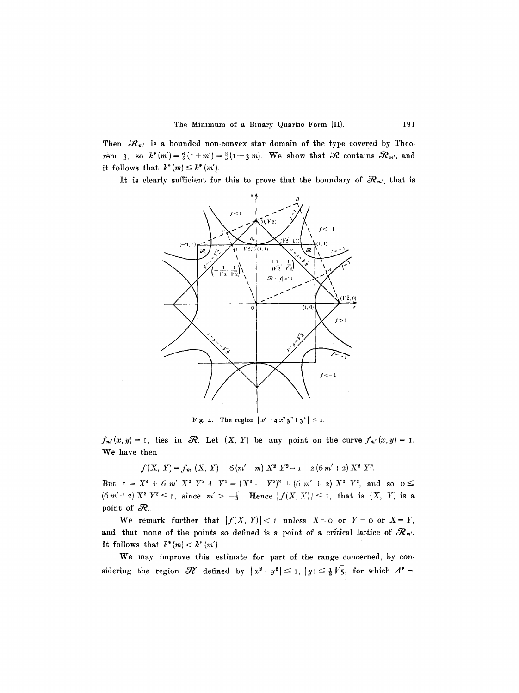Then  $\mathcal{R}_{m'}$  is a bounded non-convex star domain of the type covered by Theorem 3, so  $k^*(m')=\frac{6}{5}(1+m')=\frac{2}{5}(1-3m)$ . We show that  $\mathcal R$  contains  $\mathcal R_{m'}$ , and it follows that  $k^*(m) \leq k^*(m')$ .

It is clearly sufficient for this to prove that the boundary of  $\mathcal{R}_{m'}$ , that is



Fig. 4. The region  $|x^4-4x^2y^2+y^4| \leq 1$ .

 $f_{m'}(x,y) = I$ , lies in  $\mathcal{R}$ . Let  $(X, Y)$  be any point on the curve  $f_{m'}(x,y) = I$ . We have then

 $f(X, Y) = f_{m'}(X, Y) - 6(m'-m) X^2 Y^2 = 1 - 2(6m'+2) X^2 Y^2.$ 

But  $I = X^4 + 6$  m'  $X^2$   $Y^2 + Y^4 = (X^2 - Y^2)^2 + (6 \frac{m'}{7} + 2) X^2 Y^2$ , and so  $0 \le$  $(6m'+2) X^2 Y^2 \leq 1$ , since  $m' > -\frac{1}{3}$ . Hence  $|f(X, Y)| \leq 1$ , that is  $(X, Y)$  is a point of  $\mathcal{R}$ .

We remark further that  $|f(X, Y)| < 1$  unless  $X = 0$  or  $Y = 0$  or  $X = Y$ , and that none of the points so defined is a point of a critical lattice of  $\mathcal{R}_{m'}$ . It follows that  $k^*(m) < k^*(m')$ .

We may improve this estimate for part of the range concerned, by considering the region  $\mathcal{R}'$  defined by  $|x^2-y^2| \leq I$ ,  $|y| \leq \frac{1}{2}V_5$ , for which  $\Delta^*$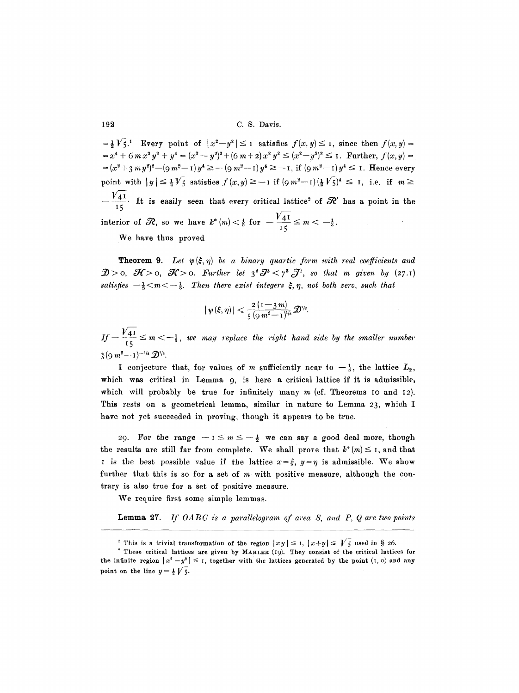$=$   $\frac{1}{2}V_5$ .<sup>1</sup> Every point of  $|x^2-y^2| \leq 1$  satisfies  $f(x, y) \leq 1$ , since then  $f(x, y) =$  $x^4 + 6$  *m*  $x^2 y^2 + y^4 = (x^2 - y^2)^2 + (6 \, m + 2) x^2 y^2 \leq (x^2 - y^2)^2 \leq 1$ . Further,  $f(x, y) =$  $=(x^2+3 my^2)^2-(9 m^2-1)y^4 \geq -(9 m^2-1)y^4 \geq -1$ , if  $(9 m^2-1)y^4 \leq 1$ . Hence every point with  $|y| \leq \frac{1}{2}V_5$  satisfies  $f(x,y) \geq -1$  if  $(\frac{1}{2}W_5)^4 \leq 1$ , i.e. if  $m \geq$  $V_{15}^+$ . It is easily seen that every critical lattice<sup>2</sup> of  $\mathcal{R}'$  has a point in the interior of  $\mathcal{R}$ , so we have  $k^*(m) < \frac{4}{5}$  for  $-\frac{1}{2} \leq m < ^{15}$ 

We have thus proved

**Theorem 9.** Let  $\psi(\xi, \eta)$  be a binary quartic form with real coefficients and  $\mathcal{D}$ >o,  $\mathcal{H}$ >o,  $\mathcal{K}$ >o. Further let  $3^{2}$   $\mathcal{J}^{3}$   $\lt$   $7^{3}$   $\mathcal{J}^{2}$ , so that m given by (27.1) *satisfies*  $-\frac{1}{2}$   $\lt m$   $\lt -\frac{1}{3}$ . Then there exist integers  $\xi, \eta$ , not both zero, such that

$$
|\psi(\xi,\eta)|<\frac{2\left(1-\frac{3}{3}m\right)}{5\left(9m^2-1\right)^{1/8}}\mathcal{D}^{1/6}.
$$

If  $\frac{17}{15} \le m < -\frac{1}{3}$ , we may replace the right hand side by the smaller number  $\frac{4}{5}$ (9 m<sup>2</sup> -- 1)<sup>--1/3</sup>  $\mathcal{D}^{1/6}$ .

I conjecture that, for values of m sufficiently near to  $-\frac{1}{3}$ , the lattice  $L_2$ , which was critical in Lemma 9, is here a critical lattice if it is admissible, which will probably be true for infinitely many  $m$  (cf. Theorems IO and I2). This rests on a geometrical lemma, similar in nature to Lemma 23, which I have not yet succeeded in proving, though it appears to be true.

29. For the range  $-1 \le m \le -\frac{1}{2}$  we can say a good deal more, though the results are still far from complete. We shall prove that  $k^*(m) \leq 1$ , and that I is the best possible value if the lattice  $x = \xi$ ,  $y = \eta$  is admissible. We show further that this is so for a set of m with positive measure, although the contrary is also true for a set of positive measure.

We require first some simple lemmas.

Lemma 27. *If OABC is a parallelogram of area S, and P, Q are two points* 

<sup>&</sup>lt;sup>1</sup> This is a trivial transformation of the region  $|xy| \leq 1$ ,  $|x+y| \leq \sqrt{5}$  used in § 26.

<sup>2</sup> These critical lattices are given by MAHLER (19). They consist of the critical lattices for the infinite region  $|x^2 - y^2| \leq 1$ , together with the lattices generated by the point  $(1, 0)$  and any point on the line  $y = \frac{1}{2} \sqrt{5}$ .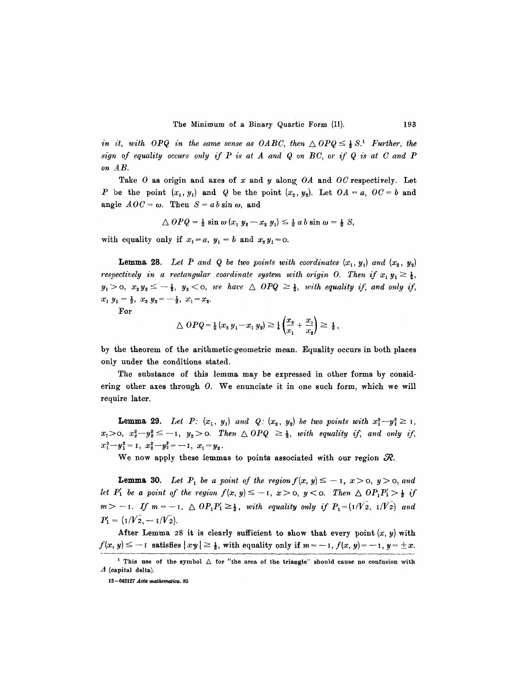*in it, with OPQ in the same sense as OABC, then*  $\triangle OPQ \leq \frac{1}{2} S$ .<sup>1</sup> *Further, the*  $sign$  of equality occurs only if  $P$  is at  $A$  and  $Q$  on  $BC$ , or if  $Q$  is at  $C$  and  $P$ *on AB.* 

Take 0 as origin and axes of x and y along. *OA* and *OC* respectively. Let P be the point  $(x_1, y_1)$  and Q be the point  $(x_2, y_2)$ . Let  $OA = a$ ,  $OC = b$  and angle  $AOC = \omega$ . Then  $S = ab \sin \omega$ , and

$$
\triangle OPQ = \frac{1}{2} \sin \omega (x_1 y_2 - x_2 y_1) \leq \frac{1}{2} ab \sin \omega = \frac{1}{2} S,
$$

with equality only if  $x_1 = a$ ,  $y_1 = b$  and  $x_2 y_1 = 0$ .

**Lemma 28.** Let P and Q be two points with coordinates  $(x_1, y_1)$  and  $(x_2, y_2)$ *respectively in a rectangular coordinate system with origin O. Then if*  $x_1 y_1 \ge \frac{1}{2}$ ,  $y_1 > 0$ ,  $x_2 y_2 \leq -\frac{1}{2}$ ,  $y_2 < 0$ , we have  $\triangle$  OPQ  $\geq \frac{1}{2}$ , with equality if, and only if,  $x_1 y_1 = \frac{1}{2}, x_2 y_2 = -\frac{1}{2}, x_1 = x_2.$ 

For

$$
\Delta OPQ = \frac{1}{2} (x_2 y_1 - x_1 y_2) \geq \frac{1}{4} \left( \frac{x_2}{x_1} + \frac{x_1}{x_2} \right) \geq \frac{1}{2},
$$

by the theorem of the arithmetic-geometric mean. Equality occurs in both places only uuder the conditions stated.

The substance of this lemma may be expressed in other forms by considering other axes through O. We enunciate it in one such form, which we will require later.

**Lemma 29.** Let P:  $(x_1, y_1)$  and Q:  $(x_2, y_2)$  be two points with  $x_1^2 - y_1^2 \ge 1$ ,  $x_1>0, x_2^2-y_2^2\leq -1, y_2>0.$  Then  $\triangle$  OPQ  $\geq \frac{1}{2}$ , with equality if, and only if,  $x_1^2-y_1^2=1$ ,  $x_2^2-y_2^2=-1$ ,  $x_1=y_2$ .

We now apply these lemmas to points associated with our region  $R$ .

**Lemma 30.** Let  $P_1$  be a point of the region  $f(x, y) \le -1$ ,  $x > 0$ ,  $y > 0$ , and *let*  $P'_1$  *be a point of the region*  $f(x, y) \leq -1$ ,  $x > 0$ ,  $y < 0$ . Then  $\triangle$   $OP_1P'_1 > \frac{1}{2}$  if  $m>-1$ . If  $m=-1$ ,  $\triangle$   $OP_1P_1'\geq \frac{1}{2}$ , with equality only if  $P_1=(1/\sqrt{2}, 1/\sqrt{2})$  and  $P'_1 = (1/V_2, -1/V_2).$ 

After Lemma 28 it is clearly sufficient to show that every point  $(x, y)$  with  $f(x, y) \le -1$  satisfies  $|xy| \ge \frac{1}{2}$ , with equality only if  $m = -1$ ,  $f(x, y) = -1$ ,  $y = \pm x$ .

<sup>&</sup>lt;sup>1</sup> This use of the symbol  $\triangle$  for "the area of the triangle" should cause no confusion with  $\Lambda$  (capital delta).

 $13-642127$  Acta mathematica. 85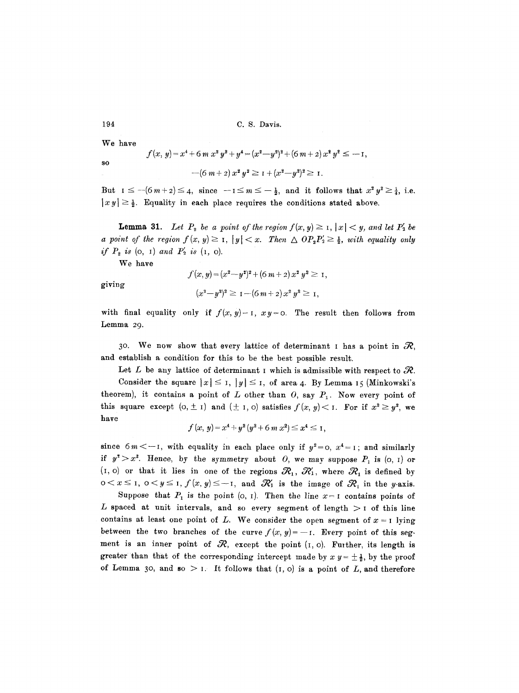We have

so  
\n
$$
f(x, y) = x^4 + 6 m x^2 y^2 + y^4 = (x^2 - y^2)^2 + (6 m + 2) x^2 y^2 \le -1,
$$
\n
$$
-(6 m + 2) x^2 y^2 \ge 1 + (x^2 - y^2)^2 \ge 1.
$$

But  $I \leq -(6 m + 2) \leq 4$ , since  $-1 \leq m \leq -\frac{1}{2}$ , and it follows that  $x^2 y^2 \geq \frac{1}{4}$ , i.e.  $|x y| \geq \frac{1}{2}$ . Equality in each place requires the conditions stated above.

**Lemma 31.** Let  $P_2$  be a point of the region  $f(x, y) \geq 1$ ,  $|x| < y$ , and let  $P'_2$  be *a point of the region*  $f(x, y) \ge 1$ *,*  $|y| < x$ *. Then*  $\triangle$   $OP_2P'_2 \ge \frac{1}{2}$ , with equality only *if*  $P_2$  *is* (0, 1) and  $P'_2$  *is* (1, 0).

We have

giving

$$
f(x, y) = (x2 - y2)2 + (6 m + 2) x2 y2 \ge 1,
$$
  

$$
(x2 - y2)2 \ge 1 - (6 m + 2) x2 y2 \ge 1,
$$

with final equality only if  $f(x, y) = 1$ ,  $x y = 0$ . The result then follows from Lemma 29.

30. We now show that every lattice of determinant I has a point in  $\mathcal{R}$ , and establish a condition for this to be the best possible result.

Let L be any lattice of determinant I which is admissible with respect to  $\mathcal{R}$ .

Consider the square  $|x| \leq 1$ ,  $|y| \leq 1$ , of area 4. By Lemma 15 (Minkowski's theorem), it contains a point of  $L$  other than  $O$ , say  $P_1$ . Now every point of this square except  $(o, \pm 1)$  and  $(\pm 1, o)$  satisfies  $f(x, y) < 1$ . For if  $x^2 \geq y^2$ , we have

$$
f(x, y) = x4 + y2 (y2 + 6 m x2) \le x4 \le 1,
$$

since  $6m < -1$ , with equality in each place only if  $y^2 = 0$ ,  $x^4 = 1$ ; and similarly if  $y^2 > x^2$ . Hence, by the symmetry about O, we may suppose  $P_1$  is  $(o, 1)$  or  $(1, 0)$  or that it lies in one of the regions  $\mathcal{R}_1$ ,  $\mathcal{R}'_1$ , where  $\mathcal{R}_1$  is defined by  $0 < x \leq 1$ ,  $0 < y \leq 1$ ,  $f(x, y) \leq -1$ , and  $\mathcal{R}_1'$  is the image of  $\mathcal{R}_1$  in the y-axis.

Suppose that  $P_1$  is the point (o, I). Then the line  $x=1$  contains points of L spaced at unit intervals, and so every segment of length  $>$  I of this line contains at least one point of L. We consider the open segment of  $x = 1$  lying between the two branches of the curve  $f(x, y) = -1$ . Every point of this segment is an inner point of  $R$ , except the point  $(I, o)$ . Further, its length is greater than that of the corresponding intercept made by  $x y = \pm \frac{1}{2}$ , by the proof of Lemma 30, and so  $> 1$ . It follows that  $(I, 0)$  is a point of L, and therefore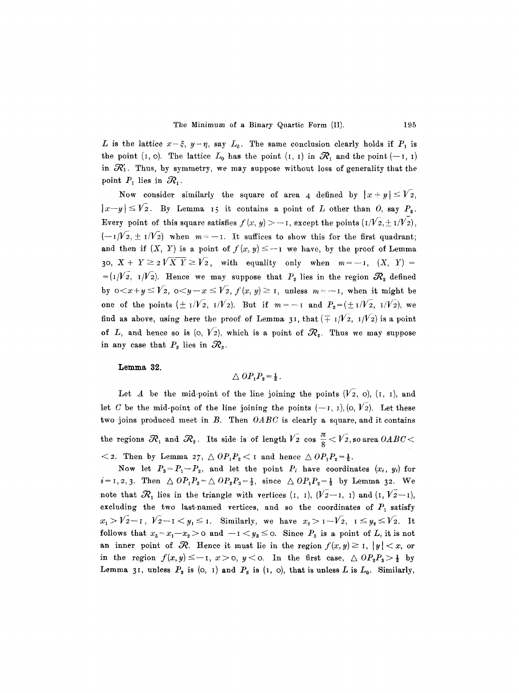L is the lattice  $x=\xi$ ,  $y=\eta$ , say  $L_0$ . The same conclusion clearly holds if  $P_1$  is the point (I, o). The lattice  $L_0$  has the point (I, I) in  $\mathcal{R}_1$  and the point (--I, I) in  $\mathcal{R}_1$ . Thus, by symmetry, we may suppose without loss of generality that the point  $P_1$  lies in  $\mathcal{R}_1$ .

Now consider similarly the square of area 4 defined by  $|x+y| \leq V_2$ ,  $|x-y| \leq V_2$ . By Lemma 15 it contains a point of L other than 0, say  $P_2$ . Every point of this square satisfies  $f(x, y) > -1$ , except the points  $(I/V_2, \pm I/V_2)$ ,  $(-1/\sqrt{2}, \pm 1/\sqrt{2})$  when  $m=-1$ . It suffices to show this for the first quadrant; and then if  $(X, Y)$  is a point of  $f(x, y) \le -1$  we have, by the proof of Lemma 30,  $X + Y \ge 2\sqrt{X'Y} \ge \sqrt{2}$ , with equality only when  $m = -1$ ,  $(X, Y) =$ =( $I/V<sub>2</sub>$ ,  $I/V<sub>2</sub>$ ). Hence we may suppose that  $P<sub>2</sub>$  lies in the region  $\mathcal{R}<sub>2</sub>$  defined by  $0 < x + y \leq \sqrt{2}$ ,  $0 < y - x \leq \sqrt{2}$ ,  $f(x, y) \geq 1$ , unless  $m = -1$ , when it might be one of the points  $(\pm 1/\sqrt{2}, 1/\sqrt{2})$ . But if  $m=-1$  and  $P_2=(\pm 1/\sqrt{2}, 1/\sqrt{2})$ , we find as above, using here the proof of Lemma 31, that  $(\mp 1/\sqrt{2}, 1/\sqrt{2})$  is a point of L, and hence so is  $(0, V_2)$ , which is a point of  $\mathcal{R}_2$ . Thus we may suppose in any case that  $P_2$  lies in  $\mathcal{R}_2$ .

**Lemma 32.** 

$$
\triangle OP_1P_2 = \frac{1}{2}.
$$

Let A be the mid-point of the line joining the points  $(V_2, 0)$ ,  $(I, 1)$ , and let C be the mid-point of the line joining the points  $(-1, 1)$ ,  $(0, V_2)$ . Let these two joins produced meet in B. Then *OABC* is clearly a square, and it contains the regions  $\mathcal{R}_1$  and  $\mathcal{R}_2$ . Its side is of length  $V_2$  cos  $\frac{\pi}{6}$  <  $V_2$ , so area  $0ABC$  <  $\langle 2.$  Then by Lemma 27,  $\triangle OP_1P_2 \langle 1 \rangle$  and hence  $\triangle OP_1P_2=\frac{1}{2}$ .

Now let  $P_3 = P_1 - P_2$ , and let the point  $P_i$  have coordinates  $(x_i, y_i)$  for  $i=1,2,3$ . Then  $\triangle OP_1P_3 = \triangle OP_2P_3 = \frac{1}{2}$ , since  $\triangle OP_1P_2 = \frac{1}{2}$  by Lemma 32. We note that  $R_1$  lies in the triangle with vertices  $(I, I), (V_2-I, I)$  and  $(I, V_2-I),$ excluding the two last-named vertices, and so the coordinates of  $P_1$  satisfy  $x_1 > V_2-1$ ,  $V_2-1 < y_1 \leq 1$ . Similarly, we have  $x_2 > 1-V_2$ ,  $1 \leq y_2 \leq V_2$ . It follows that  $x_3 = x_1-x_2 > 0$  and  $-1 < y_3 \leq 0$ . Since  $P_3$  is a point of L, it is not an inner point of  $\mathcal R$ . Hence it must lie in the region  $f(x,y) \geq 1$ ,  $|y| < x$ , or in the region  $f(x,y) \leq -1$ ,  $x > 0$ ,  $y < 0$ . In the first case,  $\triangle OP_zP_3 > \frac{1}{2}$  by Lemma 31, unless  $P_2$  is (0, 1) and  $P_3$  is (1, 0), that is unless L is  $L_0$ . Similarly,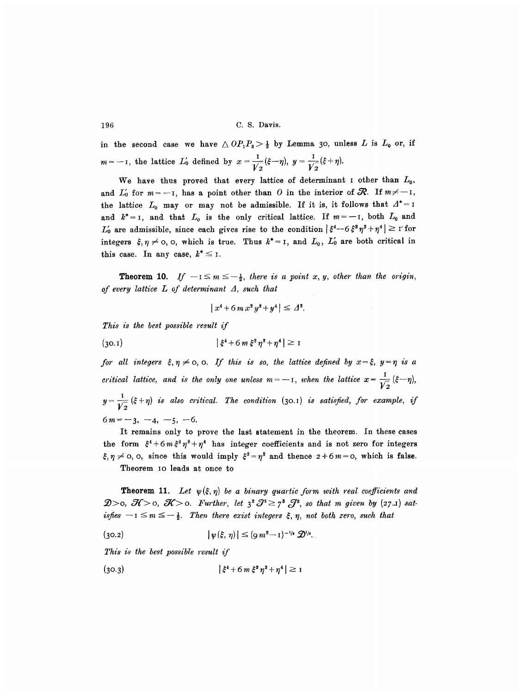in the second case we have  $\triangle OP_1P_3 > \frac{1}{2}$  by Lemma 30, unless L is  $L_0$  or, if  $m = -1$ , the lattice  $L'_0$  defined by  $x = \frac{1}{\sqrt{2}}(\xi - \eta)$ ,  $y = \frac{1}{\sqrt{2}}(\xi + \eta)$ .

We have thus proved that every lattice of determinant  $\mathbf I$  other than  $L_0$ , and  $L'_{0}$  for  $m=-1$ , has a point other than O in the interior of  $\mathcal{R}$ . If  $m \neq -1$ , the lattice  $L_0$  may or may not be admissible. If it is, it follows that  $A^* = I$ and  $k^* = I$ , and that  $L_0$  is the only critical lattice. If  $m = -I$ , both  $L_0$  and  $L'_{0}$  are admissible, since each gives rise to the condition  $|\xi^{4}-6\xi^{2}\eta^{2}+\eta^{4}| \geq 1$ 'for integers  $\xi, \eta \neq 0$ , o, which is true. Thus  $k^* = I$ , and  $L_0$ ,  $L'_0$  are both critical in this case. In any case,  $k^* \leq I$ .

**Theorem 10.** If  $-i \leq m \leq -\frac{1}{2}$ , there is a point x, y, other than the origin, *of every lattice L of determinant A, such that* 

$$
|x^4 + 6m x^2 y^2 + y^4| \leq \varDelta^2.
$$

*This is the best possible result if* 

(30.1)  $\left|\xi^4 + 6 m \xi^2 \eta^2 + \eta^4\right| \ge 1$ 

*for all integers*  $\xi, \eta \neq 0$ , o. If this is so, the lattice defined by  $x = \xi$ ,  $y = \eta$  is a *critical lattice, and is the only one unless*  $m = -1$ , when the lattice  $x = \frac{1}{\sqrt{2}} (\xi - \eta)$ ,  $y = \frac{1}{\sqrt{2}} (\xi + \eta)$  *is also critical. The condition* (30.1) *is satisfied, for example, if*  $6m=-3, -4, -5, -6.$ 

It remains only to prove the last statement in the theorem. In these cases the form  $\xi^4 + 6 m \xi^2 \eta^2 + \eta^4$  has integer coefficients and is not zero for integers  $~\xi, \eta \neq 0, 0,$  since this would imply  $\xi^2 = \eta^2$  and thence  $2 + 6 m = 0$ , which is false.

Theorem io leads at once to

**Theorem 11.** Let  $\psi(\xi, \eta)$  be a binary quartic form with real coefficients and  $\mathcal{D}$ >0,  $\mathcal{H}$ >0,  $\mathcal{K}$ >0. Further, let  $3^2 \mathcal{J}^3 \geq 7^3 \mathcal{J}^2$ , so that m given by (27.1) sat*isfies*  $-i \leq m \leq -\frac{1}{2}$ . Then there exist integers  $\xi$ ,  $\eta$ , not both zero, such that

$$
|\psi(\xi,\,\eta)| \leq (\varrho\,m^2-1)^{-1/8}\,\mathcal{D}^{1/6}.
$$

*This is the best possible result if* 

$$
(30.3) \t\t\t |\xi^4 + 6m \xi^2 \eta^2 + \eta^4| \ge 1
$$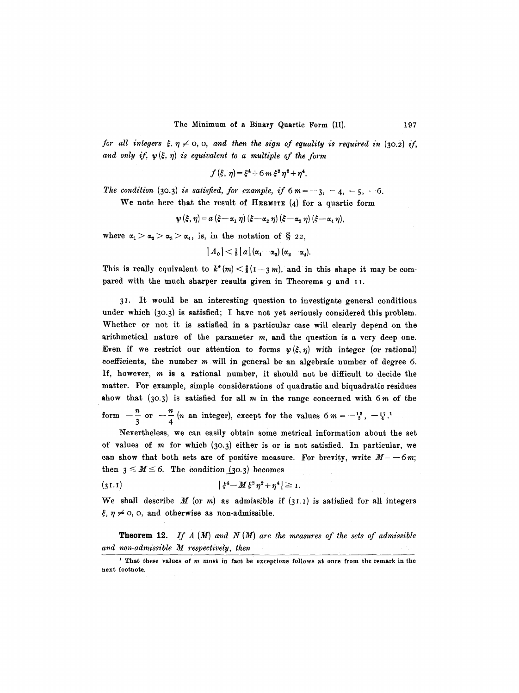*for all integers*  $\xi$ *,*  $\eta \neq 0$ *, 0, and then the sign of equality is required in (30.2) if,* and only if,  $\psi(\xi, \eta)$  is equivalent to a multiple of the form

$$
f(\xi, \eta) = \xi^4 + 6 m \xi^2 \eta^2 + \eta^4.
$$

*The condition* (30.3) *is satisfied, for example, if*  $6m = -3, -4, -5, -6$ .

We note here that the result of HERMITE  $(4)$  for a quartic form

$$
\psi(\xi,\eta) = a(\xi - \alpha_1 \eta) (\xi - \alpha_2 \eta) (\xi - \alpha_3 \eta) (\xi - \alpha_4 \eta),
$$

where  $\alpha_1 > \alpha_2 > \alpha_3 > \alpha_4$ , is, in the notation of § 22,

$$
|A_{0}|<\tfrac{1}{3}|a|(a_{1}-\alpha_{3})(\alpha_{2}-\alpha_{4}).
$$

This is really equivalent to  $k^*(m) < \frac{2}{3}(1-3m)$ , and in this shape it may be compared with the much sharper results given in Theorems 9 and II.

3 I. It would be an interesting question to investigate general conditions under which (3o.3) is satisfied; I have not yet seriously considered this problem. Whether or not it is satisfied in a particular case will clearly depend on the arithmetical nature of the parameter  $m$ , and the question is a very deep one. Even if we restrict our attention to forms  $\psi(\xi, \eta)$  with integer (or rational) coefficients, the number  $m$  will in general be an algebraic number of degree 6. If, however, m is a rational number, it should not be difficult to decide the matter. For example, simple considerations of quadratic and biquadratic residues show that  $(30.3)$  is satisfied for all m in the range concerned with  $6m$  of the form  $-\frac{n}{2}$  or  $-\frac{n}{4}$  (n an integer), except for the values 6 m =  $-\frac{13}{3}$ ,  $-\frac{17}{4}$ 3 4

Nevertheless, we can easily obtain some metrical information about the set of values of  $m$  for which (30.3) either is or is not satisfied. In particular, we can show that both sets are of positive measure. For brevity, write  $M = -6m$ ; then  $3 \leq M \leq 6$ . The condition (30.3) becomes

$$
|\xi^4 - M \xi^2 \eta^2 + \eta^4| \geq 1.
$$

We shall describe M (or m) as admissible if  $(31.1)$  is satisfied for all integers  $\xi, \eta \neq 0$ , o, and otherwise as non-admissible.

**Theorem** 12. *If A (M) and N (M) are the measures of the sets of admissible and non-admissible M respectively, then* 

i That these values of m must in fact be exceptions follows at once from the remark in the next footnote.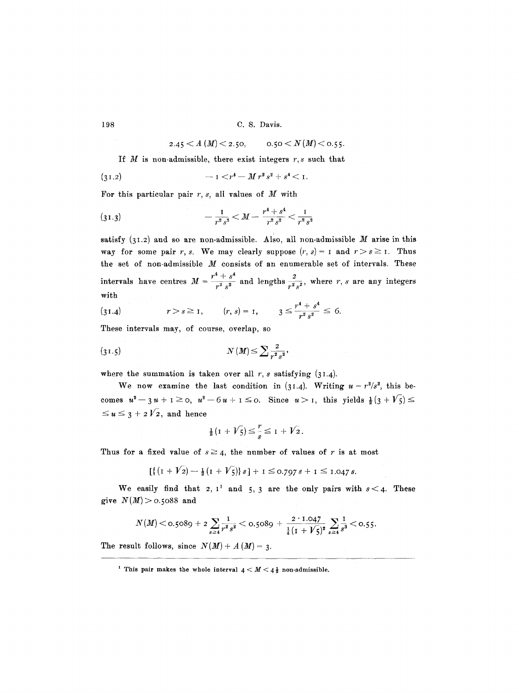2.45  $\lt A$  (*M*) $\lt$  2.50, o.50  $\lt N$  (*M*) $\lt$  0.55.

If  $M$  is non-admissible, there exist integers  $r, s$  such that

$$
(31.2) \t\t\t -1 < r4 - M r3 s2 + s4 < 1.
$$

For this particular pair  $r, s$ , all values of  $M$  with

$$
(31.3) \t\t -\frac{1}{r^2s^2} < M - \frac{r^4 + s^4}{r^2s^2} < \frac{1}{r^2s^2}
$$

satisfy  $(31.2)$  and so are non-admissible. Also, all non-admissible M arise in this way for some pair r, s. We may clearly suppose  $(r, s) = r$  and  $r > s \ge r$ . Thus the set of non-admissible  $M$  consists of an enumerable set of intervals. These intervals have centres  $M=\frac{r^4+s^4}{r^2s^2}$  and lengths  $\frac{2}{r^2s^2}$ , where r, s are any integers with

(31.4) 
$$
r > s \ge 1
$$
,  $(r, s) = 1$ ,  $3 \le \frac{r^4 + s^4}{r^2 s^2} \le 6$ .

These intervals may, of course, overlap, so

$$
(31.5) \t\t N(M) \le \sum \frac{2}{r^2 s^2},
$$

where the summation is taken over all  $r$ , s satisfying  $(31.4)$ .

We now examine the last condition in (31.4). Writing  $u = r^2/s^2$ , this becomes  $u^2-3u+1\geq 0$ ,  $u^2-6u+1\leq 0$ . Since  $u>1$ , this yields  $\frac{1}{2}(3+\sqrt{5})\leq$  $\leq u \leq 3 + i2\sqrt{2}$ , and hence

$$
\frac{1}{2}(1+V_5)\leq \frac{r}{s}\leq 1+V_2.
$$

Thus for a fixed value of  $s \geq 4$ , the number of values of r is at most

$$
[\{(I+V_2)-\tfrac{1}{2}(I+V_5)\}\,s\]+1\leq 0.797\,s+1\leq 1.047\,s.
$$

We easily find that 2,  $1^1$  and 5, 3 are the only pairs with  $s < 4$ . These give  $N(M) > 0.5088$  and

$$
N(M) < \text{o.}5089 + 2\sum_{s\geq 4}\frac{1}{r^2s^2} < \text{o.}5089 + \frac{2\cdot 1.047}{\frac{1}{4}(1 + \sqrt{5})^2}\sum_{s\geq 4}\frac{1}{s^3} < \text{o.}55.
$$

The result follows, since  $N(M) + A(M) = 3$ .

<sup>&</sup>lt;sup>1</sup> This pair makes the whole interval  $4 < M < 4\frac{1}{2}$  non-admissible.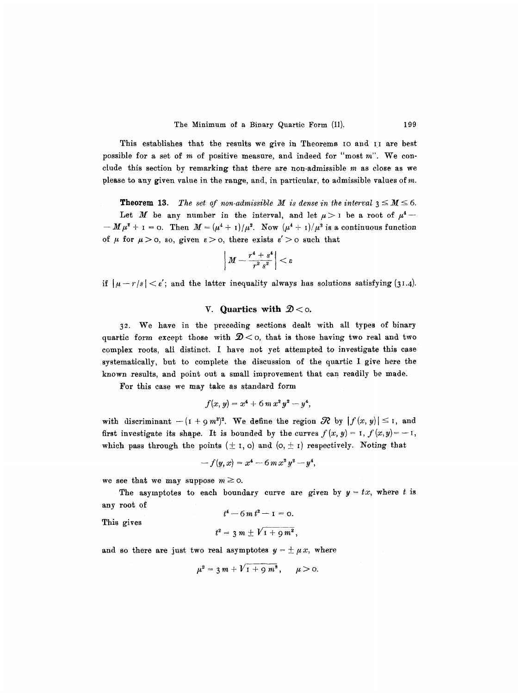This establishes that the results we give in Theorems IO and II are best possible for a set of  $m$  of positive measure, and indeed for "most  $m$ ". We conclude this section by remarking that there are non-admissible  $m$  as close as we please to any given value in the range, and, in particular, to admissible values of m.

**Theorem 13.** *The set of non-admissible M is dense in the interval*  $3 \le M \le 6$ . Let M be any number in the interval, and let  $\mu > 1$  be a root of  $\mu^4$  - $-M \mu^2 + I = 0$ . Then  $M = (\mu^4 + I)/\mu^2$ . Now  $(\mu^4 + I)/\mu^2$  is a continuous function of  $\mu$  for  $\mu > 0$ , so, given  $\varepsilon > 0$ , there exists  $\varepsilon' > 0$  such that

$$
\left|M-\frac{r^4+s^4}{r^2s^2}\right|<\varepsilon
$$

if  $|~\mu-r/s|<\epsilon'$ ; and the latter inequality always has solutions satisfying (31.4).

## V. Quartics with  $\mathcal{D}<sub>0</sub>$ .

32 . We have in the preceding sections dealt with all types of binary quartic form except those with  $\mathcal{D} <$  o, that is those having two real and two complex roots, all distinct. I have not yet attempted to investigate this case systematically, but to complete the discussion of the quartic I give here the known results, and point out a small improvement that can readily be made.

For this case we may take as standard form

$$
f(x, y) = x^4 + 6 m x^2 y^2 - y^4,
$$

with discriminant  $-(1 + 9m^2)^2$ . We define the region  $\mathcal R$  by  $|f(x, y)| \leq 1$ , and first investigate its shape. It is bounded by the curves  $f(x, y) = 1$ ,  $f(x, y) = -1$ , which pass through the points  $(\pm 1, 0)$  and  $(0, \pm 1)$  respectively. Noting that

$$
-f(y,x) = x^4 - 6 m x^2 y^2 - y^4,
$$

we see that we may suppose  $m \ge 0$ .

The asymptotes to each boundary curve are given by  $y = tx$ , where t is any root of

$$
t^4 - 6m t^2 - 1 = 0.
$$

This gives

$$
t^2 = 3 m \pm V_1 + g m^2,
$$

and so there are just two real asymptotes  $y = \pm \mu x$ , where

$$
\mu^2 = 3m + V_1 + 9m^2, \quad \mu > 0.
$$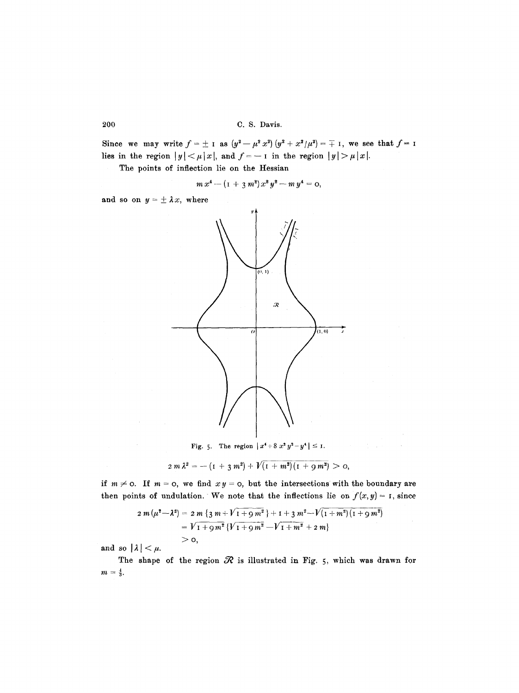Since we may write  $f=\pm$  I as  $(y^2-\mu^2 x^2)(y^2+x^2/\mu^2)=\mp$  I, we see that  $f=$  I lies in the region  $|y| < \mu |x|$ , and  $f = -1$  in the region  $|y| > \mu |x|$ .

The points of inflection lie on the Hessian

$$
m x4 - (I + 3 m2) x2 y2 - m y4 = 0,
$$

and so on  $y = \pm \lambda x$ , where



Fig. 5. The region  $|x^4+8x^2y^2-y^4| \leq 1$ .

 $\mathcal{L} = \mathcal{L}$ 

 $2m\,\lambda^2 = -\left(1 + 3\,m^2\right) + \sqrt{\left(1 + m^2\right)\left(1 + 9\,m^2\right)} > 0,$ 

if  $m \neq 0$ . If  $m = 0$ , we find  $xy = 0$ , but the intersections with the boundary are then points of undulation. We note that the inflections lie on  $f(x, y) = I$ , since

$$
2 m (\mu^2 - \lambda^2) = 2 m \{3 m + V I + 9 m^2 \} + 1 + 3 m^2 - V (I + m^2) (I + 9 m^2)
$$
  
=  $V I + 9 m^2 \{V I + 9 m^2 - V I + m^2 + 2 m\}$   
> 0,

and so  $|\lambda| < \mu$ .

The shape of the region  $\mathcal R$  is illustrated in Fig. 5, which was drawn for  $m=\frac{4}{3}.$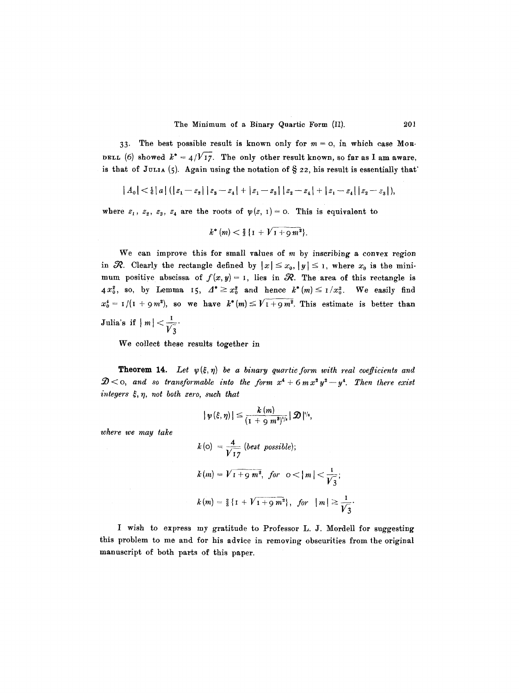33. The best possible result is known only for  $m = 0$ , in which case Mon-DELL (6) showed  $k^* = 4/\sqrt{17}$ . The only other result known, so far as I am aware, is that of JULIA (5). Again using the notation of  $\S$  22, his result is essentially that

$$
|A_0| < \frac{1}{6} |a| (|z_1 - z_2| |z_3 - z_4| + |z_1 - z_3| |z_2 - z_4| + |z_1 - z_4| |z_2 - z_3|),
$$

where  $z_1$ ,  $z_2$ ,  $z_3$ ,  $z_4$  are the roots of  $\psi(z, 1) = 0$ . This is equivalent to

$$
k^{\ast}(m) < \tfrac{2}{3} \{1 + \sqrt{1 + g m^2}\}.
$$

We can improve this for small values of  $m$  by inscribing a convex region in  $\mathcal R$ . Clearly the rectangle defined by  $|x| \leq x_0$ ,  $|y| \leq 1$ , where  $x_0$  is the minimum positive abscissa of  $f(x, y) = 1$ , lies in  $\mathcal{R}$ . The area of this rectangle is 4 $x_0^2$ , so, by Lemma 15,  $A^* \geq x_0^2$  and hence  $k^*(m) \leq 1/x_0^2$ . We easily find  $x_0^* = 1/(1 + 9m^2)$ , so we have  $k^*(m) \leq \sqrt{1 + 9m^2}$ . This estimate is better than **Julia's if**  $|m| < \frac{1}{1}$ .

We collect these results together in

 $\mathcal{D} \leq$  0, and so transformable into the form  $x^4 + 6$  m $x^2y^2 - y^4$ . Then there exist *integers ~, 7, not both zero, such that*  **Theorem 14.** Let  $\psi(\xi, \eta)$  be a binary quartic form with real coefficients and

$$
| \psi(\xi,\eta)| \leq \frac{k(m)}{(1+\cosh n^2)^{1/s}} |\mathcal{D}|^{1/s},
$$

*where we may take* 

$$
k(o) = \frac{4}{\sqrt{17}} (best\ possible);
$$
  
\n
$$
k(m) = \sqrt{1 + 9} m^{2}, \text{ for } o < |m| < \frac{1}{\sqrt{3}};
$$
  
\n
$$
k(m) = \frac{9}{8} \{1 + \sqrt{1 + 9} m^{2}\}, \text{ for } |m| \ge \frac{1}{\sqrt{3}};
$$

I wish to express my gratitude to Professor L. J. Mordell for suggesting this problem to me and for his advice in removing obscurities from the original manuscript of both parts of this paper.